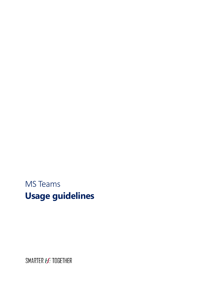MS Teams **Usage guidelines**

SMARTER *HE* TOGETHER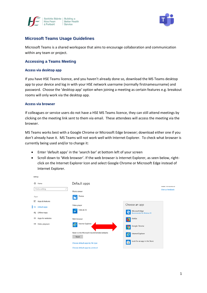



# **Microsoft Teams Usage Guidelines**

Microsoft Teams is a shared workspace that aims to encourage collaboration and communication within any team or project.

### **Accessing a Teams Meeting**

#### **Access via desktop app**

If you have HSE Teams licence, and you haven't already done so, download the MS Teams desktop app to your device and log in with your HSE network username (normally firstnamesurname) and password. Choose the 'desktop app' option when joining a meeting as certain features e.g. breakout rooms will only work via the desktop app.

#### **Access via browser**

Settings

If colleagues or service users do not have a HSE MS Teams licence, they can still attend meetings by clicking on the meeting link sent to them via email. These attendees will access the meeting via the browser.

MS Teams works best with a Google Chrome or Microsoft Edge browser; download either one if you don't already have it. MS Teams will not work well with Internet Explorer. To check what browser is currently being used and/or to change it:

- Enter 'default apps' in the 'search bar' at bottom left of your screen
- Scroll down to 'Web browser'. If the web browser is Internet Explorer, as seen below, rightclick on the Internet Explorer Icon and select Google Chrome or Microsoft Edge instead of Internet Explorer.

| త<br>Home                | Default apps                                         |                                                   | IVIDATE VVIIIUUWS US |
|--------------------------|------------------------------------------------------|---------------------------------------------------|----------------------|
| Find a setting<br>₽      | Photo viewer                                         |                                                   | Give us feedback     |
| Apps                     | Photos<br>W                                          |                                                   |                      |
| 巨<br>Apps & features     |                                                      |                                                   |                      |
| l 5<br>Default apps      | Video player                                         | Choose an app                                     |                      |
| Offline maps<br>Φį       | Films & TV                                           | Microsoft Edge<br>е<br>Recommended for Windows 10 |                      |
| Apps for websites<br>⊡   | Web browser                                          | Firefox<br>e                                      |                      |
| Video playback<br>$\Box$ | Internet Explorer<br>e                               | Google Chrome<br>q                                |                      |
|                          | Reset to the Microsoft recommended defaults<br>Reset | Internet Explorer<br>$\bm{e}$                     |                      |
|                          | Choose default apps by file type                     | Look for an app in the Store<br>合                 |                      |
|                          | Choose default apps by protocol                      |                                                   |                      |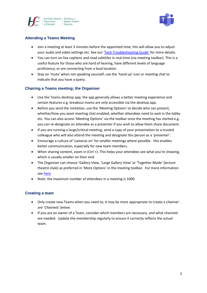



# **Attending a Teams Meeting**

- Join a meeting at least 3 minutes before the appointed time; this will allow you to adjust your audio and video settings etc. See our ['Tech Troubleshooting Guide'](https://www.ehealthireland.ie/MS-Teams-for-HSE-Staff/) for more details.
- You can turn on live captions and read subtitles in real-time (via meeting toolbar). This is a useful feature for those who are hard of hearing, have different levels of language proficiency, or are connecting from a loud location.
- Stay on 'mute' when not speaking yourself; use the 'hand up' icon or meeting chat to indicate that you have a query.

# **Chairing a Teams meeting; the Organiser**

- Use the Teams desktop app; the app generally allows a better meeting experience and certain features e.g. breakout rooms are *only* accessible via the desktop app.
- Before you send the invitation, use the 'Meeting Options' to decide who can present, whether/how you want meeting chat enabled, whether attendees need to wait in the lobby etc. You can also access 'Meeting Options' via the toolbar once the meeting has started e.g. you can re-designate an attendee as a presenter if you wish to allow them share document.
- If you are running a large/critical meeting, send a copy of your presentation to a trusted colleague who will also attend the meeting and designate this person as a 'presenter'.
- Encourage a culture of 'cameras on' for smaller meetings where possible this enables better communication, especially for new team members.
- When sharing content, zoom in (Ctrl +). This helps your attendees see what you're showing, which is usually smaller on their end.
- The Organiser can choose 'Gallery View, 'Large Gallery View' or 'Together Mode' (lecture theatre style) as preferred in 'More Options' in the meeting toolbar. For more information se[e here](https://www.ehealthireland.ie/MS-Teams-for-HSE-Staff/Top-Tips/)
- Note: the maximum number of attendees in a meeting is 1000.

# **Creating a team**

- Only create new Teams when you need to; it may be more appropriate to create a channel *see 'Channels' below.*
- If you are an owner of a Team, consider which members are necessary, and what channels are needed. Update the membership regularly to ensure it correctly reflects the actual team.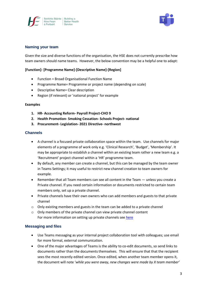



### **Naming your team**

Given the size and diverse functions of the organisation, the HSE does not currently prescribe how team owners should name teams. However, the below convention may be a helpful one to adapt:

### **[Function]- [Programme Name]-[Descriptive Name]-[Region]**

- Function = Broad Organisational Function Name
- Programme Name= Programme or project name (depending on scale)
- Descriptive Name= Clear description
- Region (if relevant) or 'national project' for example

#### **Examples**

- **1. HR- Accounting Reform- Payroll Project-CHO 9**
- **2. Health Promotion- Smoking Cessation- Schools Project- national**
- **3. Procurement- Legislation- 2021 Directive- northwest**

### **Channels**

- A channel is a focused private collaboration space within the team. Use channels for major elements of a programme of work only e.g. 'Clinical Research', 'Budget', 'Membership'. It may be appropriate to establish a channel within an existing team rather a new team e.g. a 'Recruitment' project channel within a 'HR' programme team.
- By default, any member can create a channel, but this can be managed by the team owner in Teams Settings; it may useful to restrict new channel creation to team owners for example.
- Remember that all Team members can see all content in the Team unless you create a Private channel. If you need certain information or documents restricted to certain team members only, set up a private channel.
- Private channels have their own owners who can add members and guests to that private channel
- $\circ$  Only existing members and guests in the team can be added to a private channel
- o Only members of the private channel can view private channel content For more information on setting up private channels see [here](https://www.ehealthireland.ie/MS-Teams-for-HSE-Staff/Top-Tips/)

#### **Messaging and files**

- Use Teams messaging as your internal project collaboration tool with colleagues; use email for more formal, external communication.
- One of the major advantages of Teams is the ability to co-edit documents, so send links to documents rather than the documents themselves. This will ensure that that the recipient sees the most recently edited version. Once edited, when another team member opens it, the document will note '*while you were away, new changes were made by X team member'*